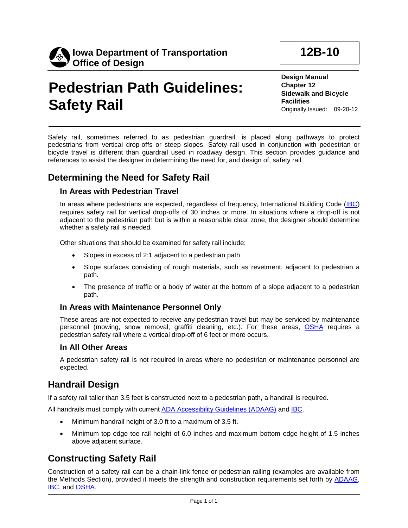

# **Pedestrian Path Guidelines: Safety Rail**

**Design Manual Chapter 12 Sidewalk and Bicycle Facilities** Originally Issued: 09-20-12

**12B-10**

Safety rail, sometimes referred to as pedestrian guardrail, is placed along pathways to protect pedestrians from vertical drop-offs or steep slopes. Safety rail used in conjunction with pedestrian or bicycle travel is different than guardrail used in roadway design. This section provides guidance and references to assist the designer in determining the need for, and design of, safety rail.

### **Determining the Need for Safety Rail**

#### **In Areas with Pedestrian Travel**

In areas where pedestrians are expected, regardless of frequency, International Building Code (IBC) requires safety rail for vertical drop-offs of 30 inches or more. In situations where a drop-off is not adjacent to the pedestrian path but is within a reasonable clear zone, the designer should determine whether a safety rail is needed.

Other situations that should be examined for safety rail include:

- Slopes in excess of 2:1 adjacent to a pedestrian path.
- Slope surfaces consisting of rough materials, such as revetment, adjacent to pedestrian a path.
- The presence of traffic or a body of water at the bottom of a slope adjacent to a pedestrian path.

#### **In Areas with Maintenance Personnel Only**

These areas are not expected to receive any pedestrian travel but may be serviced by maintenance personnel (mowing, snow removal, graffiti cleaning, etc.). For these areas, OSHA requires a pedestrian safety rail where a vertical drop-off of 6 feet or more occurs.

#### **In All Other Areas**

A pedestrian safety rail is not required in areas where no pedestrian or maintenance personnel are expected.

## **Handrail Design**

If a safety rail taller than 3.5 feet is constructed next to a pedestrian path, a handrail is required.

All handrails must comply with current ADA Accessibility Guidelines (ADAAG) and IBC.

- Minimum handrail height of 3.0 ft to a maximum of 3.5 ft.
- Minimum top edge toe rail height of 6.0 inches and maximum bottom edge height of 1.5 inches above adjacent surface.

## **Constructing Safety Rail**

Construction of a safety rail can be a chain-link fence or pedestrian railing (examples are available from the Methods Section), provided it meets the strength and construction requirements set forth by ADAAG, IBC, and OSHA.